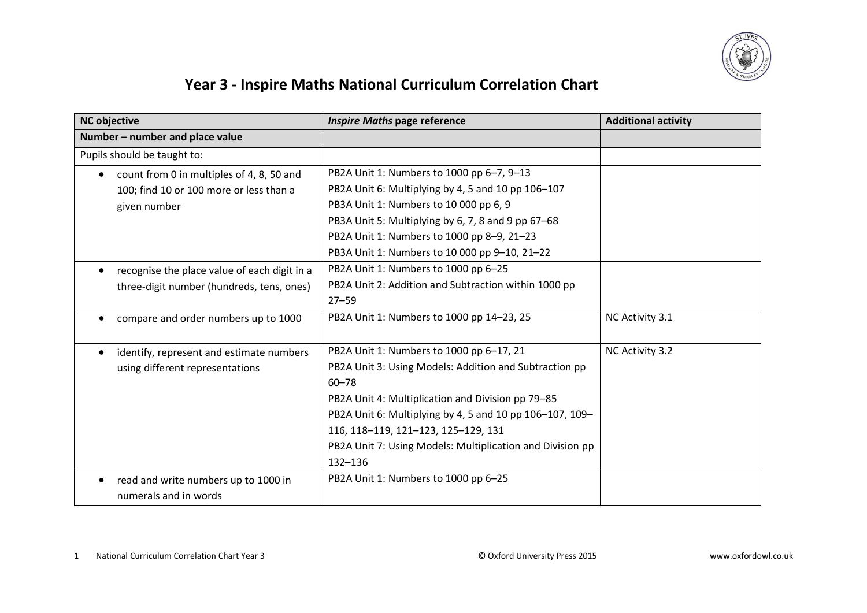

## **Year 3 - Inspire Maths National Curriculum Correlation Chart**

| <b>NC</b> objective                                    | <b>Inspire Maths page reference</b>                       | <b>Additional activity</b> |
|--------------------------------------------------------|-----------------------------------------------------------|----------------------------|
| Number - number and place value                        |                                                           |                            |
| Pupils should be taught to:                            |                                                           |                            |
| count from 0 in multiples of 4, 8, 50 and<br>$\bullet$ | PB2A Unit 1: Numbers to 1000 pp 6-7, 9-13                 |                            |
| 100; find 10 or 100 more or less than a                | PB2A Unit 6: Multiplying by 4, 5 and 10 pp 106-107        |                            |
| given number                                           | PB3A Unit 1: Numbers to 10 000 pp 6, 9                    |                            |
|                                                        | PB3A Unit 5: Multiplying by 6, 7, 8 and 9 pp 67-68        |                            |
|                                                        | PB2A Unit 1: Numbers to 1000 pp 8-9, 21-23                |                            |
|                                                        | PB3A Unit 1: Numbers to 10 000 pp 9-10, 21-22             |                            |
| recognise the place value of each digit in a           | PB2A Unit 1: Numbers to 1000 pp 6-25                      |                            |
| three-digit number (hundreds, tens, ones)              | PB2A Unit 2: Addition and Subtraction within 1000 pp      |                            |
|                                                        | $27 - 59$                                                 |                            |
| compare and order numbers up to 1000                   | PB2A Unit 1: Numbers to 1000 pp 14-23, 25                 | NC Activity 3.1            |
|                                                        |                                                           |                            |
| identify, represent and estimate numbers               | PB2A Unit 1: Numbers to 1000 pp 6-17, 21                  | NC Activity 3.2            |
| using different representations                        | PB2A Unit 3: Using Models: Addition and Subtraction pp    |                            |
|                                                        | $60 - 78$                                                 |                            |
|                                                        | PB2A Unit 4: Multiplication and Division pp 79-85         |                            |
|                                                        | PB2A Unit 6: Multiplying by 4, 5 and 10 pp 106-107, 109-  |                            |
|                                                        | 116, 118-119, 121-123, 125-129, 131                       |                            |
|                                                        | PB2A Unit 7: Using Models: Multiplication and Division pp |                            |
|                                                        | 132-136                                                   |                            |
| read and write numbers up to 1000 in                   | PB2A Unit 1: Numbers to 1000 pp 6-25                      |                            |
| numerals and in words                                  |                                                           |                            |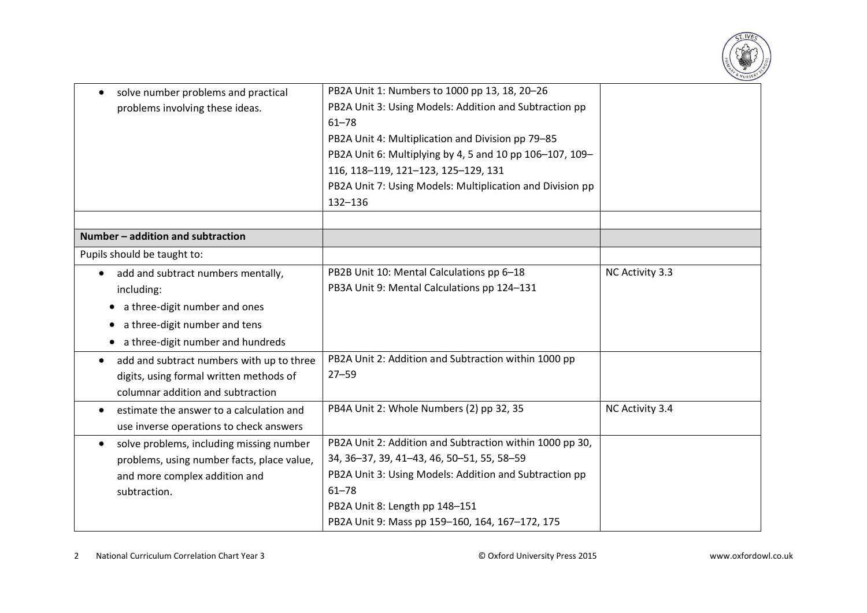

| solve number problems and practical<br>problems involving these ideas.                                                                                               | PB2A Unit 1: Numbers to 1000 pp 13, 18, 20-26<br>PB2A Unit 3: Using Models: Addition and Subtraction pp<br>$61 - 78$<br>PB2A Unit 4: Multiplication and Division pp 79-85<br>PB2A Unit 6: Multiplying by 4, 5 and 10 pp 106-107, 109-<br>116, 118-119, 121-123, 125-129, 131<br>PB2A Unit 7: Using Models: Multiplication and Division pp<br>132-136 |                 |
|----------------------------------------------------------------------------------------------------------------------------------------------------------------------|------------------------------------------------------------------------------------------------------------------------------------------------------------------------------------------------------------------------------------------------------------------------------------------------------------------------------------------------------|-----------------|
| Number - addition and subtraction                                                                                                                                    |                                                                                                                                                                                                                                                                                                                                                      |                 |
| Pupils should be taught to:                                                                                                                                          |                                                                                                                                                                                                                                                                                                                                                      |                 |
| add and subtract numbers mentally,<br>$\bullet$<br>including:<br>a three-digit number and ones<br>a three-digit number and tens<br>a three-digit number and hundreds | PB2B Unit 10: Mental Calculations pp 6-18<br>PB3A Unit 9: Mental Calculations pp 124-131                                                                                                                                                                                                                                                             | NC Activity 3.3 |
| add and subtract numbers with up to three<br>$\bullet$<br>digits, using formal written methods of<br>columnar addition and subtraction                               | PB2A Unit 2: Addition and Subtraction within 1000 pp<br>$27 - 59$                                                                                                                                                                                                                                                                                    |                 |
| estimate the answer to a calculation and<br>$\bullet$<br>use inverse operations to check answers                                                                     | PB4A Unit 2: Whole Numbers (2) pp 32, 35                                                                                                                                                                                                                                                                                                             | NC Activity 3.4 |
| solve problems, including missing number<br>$\bullet$<br>problems, using number facts, place value,<br>and more complex addition and<br>subtraction.                 | PB2A Unit 2: Addition and Subtraction within 1000 pp 30,<br>34, 36-37, 39, 41-43, 46, 50-51, 55, 58-59<br>PB2A Unit 3: Using Models: Addition and Subtraction pp<br>$61 - 78$<br>PB2A Unit 8: Length pp 148-151<br>PB2A Unit 9: Mass pp 159-160, 164, 167-172, 175                                                                                   |                 |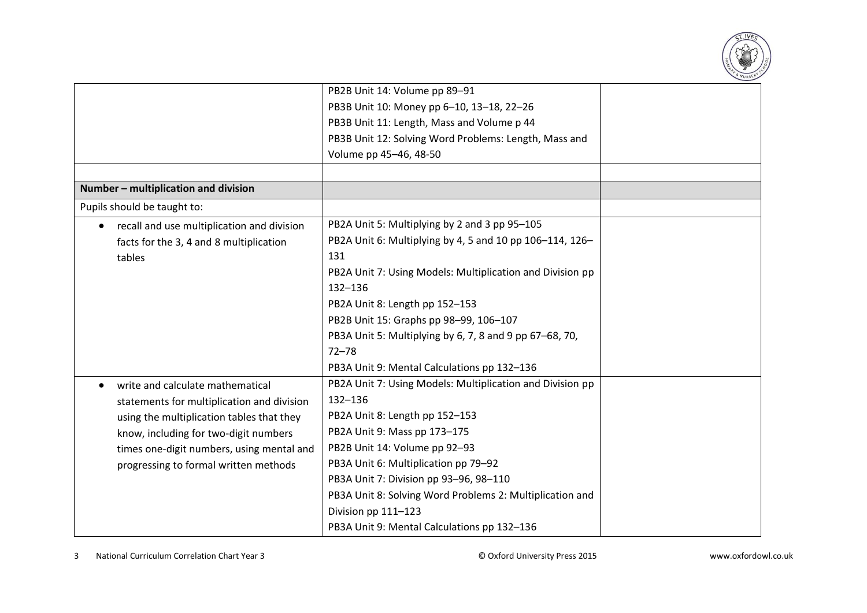

|                                            | PB2B Unit 14: Volume pp 89-91                             |  |
|--------------------------------------------|-----------------------------------------------------------|--|
|                                            | PB3B Unit 10: Money pp 6-10, 13-18, 22-26                 |  |
|                                            | PB3B Unit 11: Length, Mass and Volume p 44                |  |
|                                            | PB3B Unit 12: Solving Word Problems: Length, Mass and     |  |
|                                            | Volume pp 45-46, 48-50                                    |  |
|                                            |                                                           |  |
| Number - multiplication and division       |                                                           |  |
| Pupils should be taught to:                |                                                           |  |
| recall and use multiplication and division | PB2A Unit 5: Multiplying by 2 and 3 pp 95-105             |  |
| facts for the 3, 4 and 8 multiplication    | PB2A Unit 6: Multiplying by 4, 5 and 10 pp 106-114, 126-  |  |
| tables                                     | 131                                                       |  |
|                                            | PB2A Unit 7: Using Models: Multiplication and Division pp |  |
|                                            | $132 - 136$                                               |  |
|                                            | PB2A Unit 8: Length pp 152-153                            |  |
|                                            | PB2B Unit 15: Graphs pp 98-99, 106-107                    |  |
|                                            | PB3A Unit 5: Multiplying by 6, 7, 8 and 9 pp 67–68, 70,   |  |
|                                            | $72 - 78$                                                 |  |
|                                            | PB3A Unit 9: Mental Calculations pp 132-136               |  |
| write and calculate mathematical           | PB2A Unit 7: Using Models: Multiplication and Division pp |  |
| statements for multiplication and division | 132-136                                                   |  |
| using the multiplication tables that they  | PB2A Unit 8: Length pp 152-153                            |  |
| know, including for two-digit numbers      | PB2A Unit 9: Mass pp 173-175                              |  |
| times one-digit numbers, using mental and  | PB2B Unit 14: Volume pp 92-93                             |  |
| progressing to formal written methods      | PB3A Unit 6: Multiplication pp 79-92                      |  |
|                                            | PB3A Unit 7: Division pp 93-96, 98-110                    |  |
|                                            | PB3A Unit 8: Solving Word Problems 2: Multiplication and  |  |
|                                            | Division pp 111-123                                       |  |
|                                            | PB3A Unit 9: Mental Calculations pp 132-136               |  |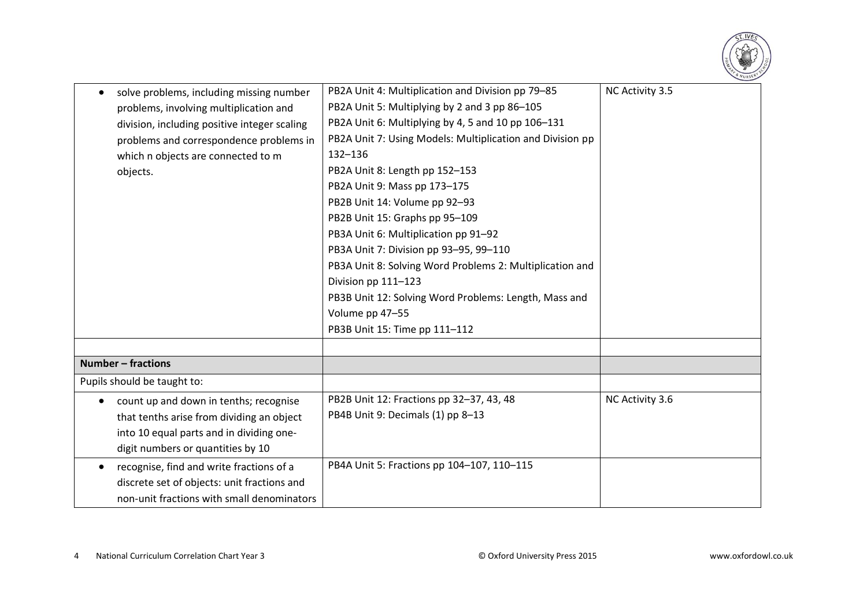

| solve problems, including missing number<br>$\bullet$ | PB2A Unit 4: Multiplication and Division pp 79-85         | NC Activity 3.5 |
|-------------------------------------------------------|-----------------------------------------------------------|-----------------|
| problems, involving multiplication and                | PB2A Unit 5: Multiplying by 2 and 3 pp 86-105             |                 |
| division, including positive integer scaling          | PB2A Unit 6: Multiplying by 4, 5 and 10 pp 106-131        |                 |
| problems and correspondence problems in               | PB2A Unit 7: Using Models: Multiplication and Division pp |                 |
| which n objects are connected to m                    | 132-136                                                   |                 |
| objects.                                              | PB2A Unit 8: Length pp 152-153                            |                 |
|                                                       | PB2A Unit 9: Mass pp 173-175                              |                 |
|                                                       | PB2B Unit 14: Volume pp 92-93                             |                 |
|                                                       | PB2B Unit 15: Graphs pp 95-109                            |                 |
|                                                       | PB3A Unit 6: Multiplication pp 91-92                      |                 |
|                                                       | PB3A Unit 7: Division pp 93-95, 99-110                    |                 |
|                                                       | PB3A Unit 8: Solving Word Problems 2: Multiplication and  |                 |
|                                                       | Division pp 111-123                                       |                 |
|                                                       | PB3B Unit 12: Solving Word Problems: Length, Mass and     |                 |
|                                                       | Volume pp 47-55                                           |                 |
|                                                       | PB3B Unit 15: Time pp 111-112                             |                 |
|                                                       |                                                           |                 |
| <b>Number - fractions</b>                             |                                                           |                 |
| Pupils should be taught to:                           |                                                           |                 |
| count up and down in tenths; recognise<br>$\bullet$   | PB2B Unit 12: Fractions pp 32-37, 43, 48                  | NC Activity 3.6 |
| that tenths arise from dividing an object             | PB4B Unit 9: Decimals (1) pp 8-13                         |                 |
| into 10 equal parts and in dividing one-              |                                                           |                 |
| digit numbers or quantities by 10                     |                                                           |                 |
| recognise, find and write fractions of a<br>$\bullet$ | PB4A Unit 5: Fractions pp 104-107, 110-115                |                 |
| discrete set of objects: unit fractions and           |                                                           |                 |
| non-unit fractions with small denominators            |                                                           |                 |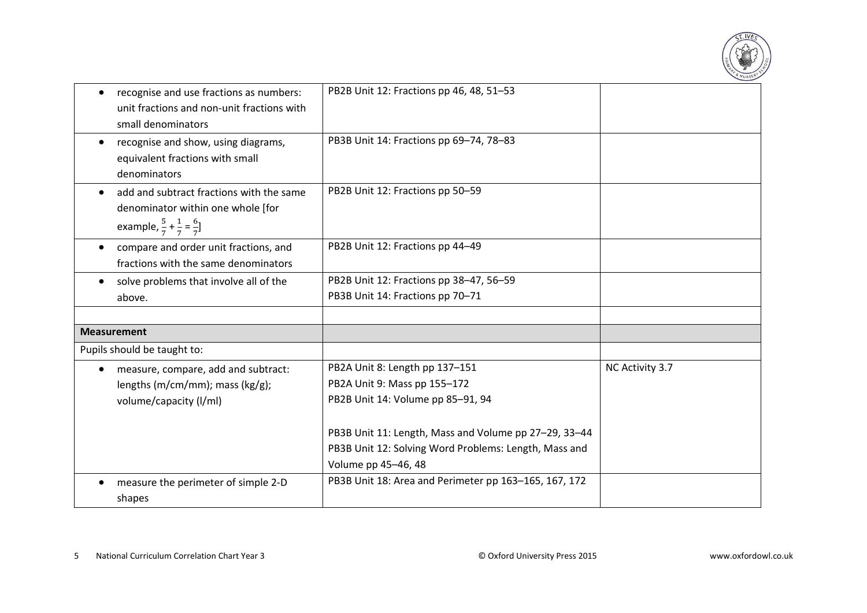

| recognise and use fractions as numbers:<br>unit fractions and non-unit fractions with<br>small denominators                           | PB2B Unit 12: Fractions pp 46, 48, 51-53                                                                                                                                                                              |                 |
|---------------------------------------------------------------------------------------------------------------------------------------|-----------------------------------------------------------------------------------------------------------------------------------------------------------------------------------------------------------------------|-----------------|
| recognise and show, using diagrams,<br>equivalent fractions with small<br>denominators                                                | PB3B Unit 14: Fractions pp 69-74, 78-83                                                                                                                                                                               |                 |
| add and subtract fractions with the same<br>denominator within one whole [for<br>example, $\frac{5}{7} + \frac{1}{7} = \frac{6}{7}$ ] | PB2B Unit 12: Fractions pp 50-59                                                                                                                                                                                      |                 |
| compare and order unit fractions, and<br>fractions with the same denominators                                                         | PB2B Unit 12: Fractions pp 44-49                                                                                                                                                                                      |                 |
| solve problems that involve all of the<br>above.                                                                                      | PB2B Unit 12: Fractions pp 38-47, 56-59<br>PB3B Unit 14: Fractions pp 70-71                                                                                                                                           |                 |
| <b>Measurement</b>                                                                                                                    |                                                                                                                                                                                                                       |                 |
| Pupils should be taught to:                                                                                                           |                                                                                                                                                                                                                       |                 |
| measure, compare, add and subtract:<br>lengths (m/cm/mm); mass (kg/g);<br>volume/capacity (I/ml)                                      | PB2A Unit 8: Length pp 137-151<br>PB2A Unit 9: Mass pp 155-172<br>PB2B Unit 14: Volume pp 85-91, 94<br>PB3B Unit 11: Length, Mass and Volume pp 27-29, 33-44<br>PB3B Unit 12: Solving Word Problems: Length, Mass and | NC Activity 3.7 |
| measure the perimeter of simple 2-D<br>shapes                                                                                         | Volume pp 45-46, 48<br>PB3B Unit 18: Area and Perimeter pp 163-165, 167, 172                                                                                                                                          |                 |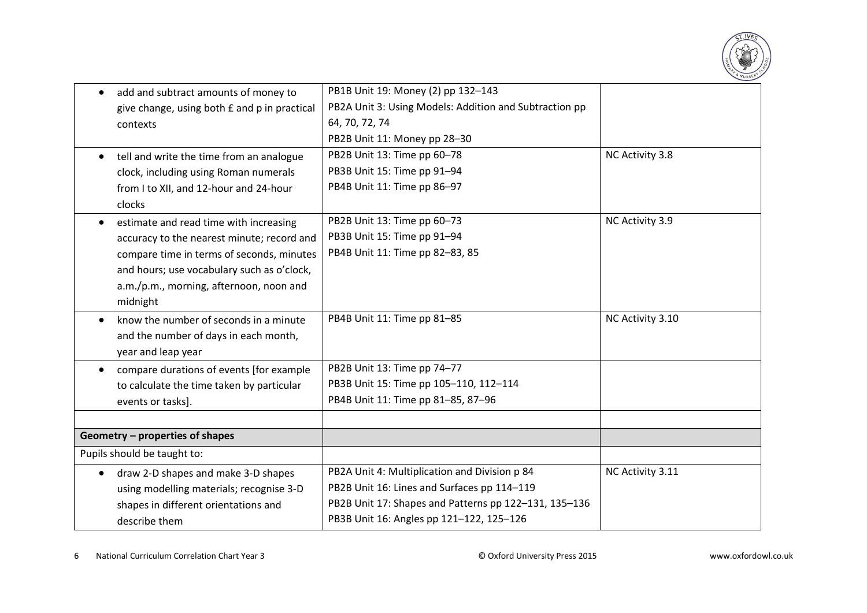

| add and subtract amounts of money to<br>$\bullet$     | PB1B Unit 19: Money (2) pp 132-143                     |                  |
|-------------------------------------------------------|--------------------------------------------------------|------------------|
| give change, using both £ and p in practical          | PB2A Unit 3: Using Models: Addition and Subtraction pp |                  |
| contexts                                              | 64, 70, 72, 74                                         |                  |
|                                                       | PB2B Unit 11: Money pp 28-30                           |                  |
| tell and write the time from an analogue<br>$\bullet$ | PB2B Unit 13: Time pp 60-78                            | NC Activity 3.8  |
| clock, including using Roman numerals                 | PB3B Unit 15: Time pp 91-94                            |                  |
| from I to XII, and 12-hour and 24-hour                | PB4B Unit 11: Time pp 86-97                            |                  |
| clocks                                                |                                                        |                  |
| estimate and read time with increasing                | PB2B Unit 13: Time pp 60-73                            | NC Activity 3.9  |
| accuracy to the nearest minute; record and            | PB3B Unit 15: Time pp 91-94                            |                  |
| compare time in terms of seconds, minutes             | PB4B Unit 11: Time pp 82-83, 85                        |                  |
| and hours; use vocabulary such as o'clock,            |                                                        |                  |
| a.m./p.m., morning, afternoon, noon and               |                                                        |                  |
| midnight                                              |                                                        |                  |
| know the number of seconds in a minute<br>$\bullet$   | PB4B Unit 11: Time pp 81-85                            | NC Activity 3.10 |
| and the number of days in each month,                 |                                                        |                  |
| year and leap year                                    |                                                        |                  |
| compare durations of events [for example<br>$\bullet$ | PB2B Unit 13: Time pp 74-77                            |                  |
| to calculate the time taken by particular             | PB3B Unit 15: Time pp 105-110, 112-114                 |                  |
| events or tasks].                                     | PB4B Unit 11: Time pp 81-85, 87-96                     |                  |
|                                                       |                                                        |                  |
| Geometry - properties of shapes                       |                                                        |                  |
| Pupils should be taught to:                           |                                                        |                  |
| draw 2-D shapes and make 3-D shapes<br>$\bullet$      | PB2A Unit 4: Multiplication and Division p 84          | NC Activity 3.11 |
| using modelling materials; recognise 3-D              | PB2B Unit 16: Lines and Surfaces pp 114-119            |                  |
| shapes in different orientations and                  | PB2B Unit 17: Shapes and Patterns pp 122-131, 135-136  |                  |
| describe them                                         | PB3B Unit 16: Angles pp 121-122, 125-126               |                  |

6 National Curriculum Correlation Chart Year 3 © Oxford University Press 2015 www.oxfordowl.co.uk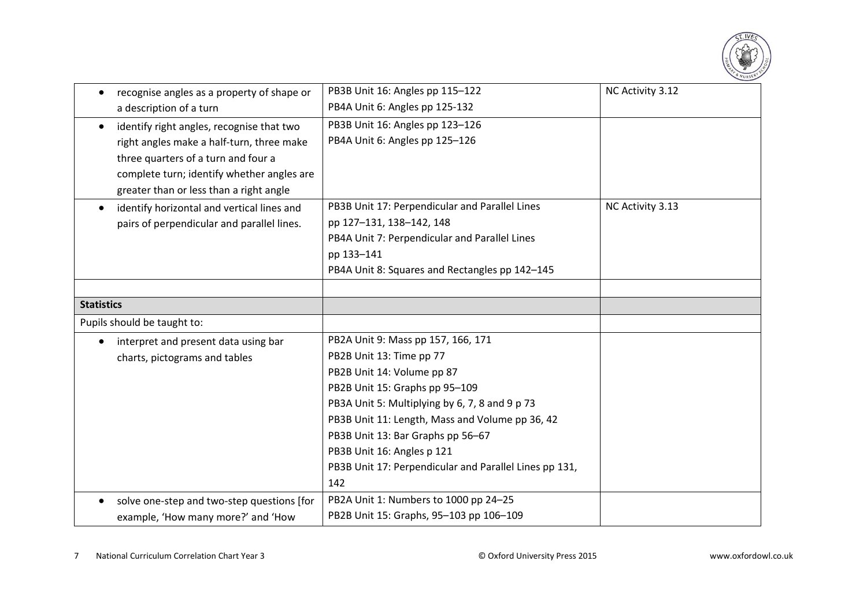

| recognise angles as a property of shape or<br>$\bullet$ | PB3B Unit 16: Angles pp 115-122                        | NC Activity 3.12 |
|---------------------------------------------------------|--------------------------------------------------------|------------------|
| a description of a turn                                 | PB4A Unit 6: Angles pp 125-132                         |                  |
| identify right angles, recognise that two               | PB3B Unit 16: Angles pp 123-126                        |                  |
| right angles make a half-turn, three make               | PB4A Unit 6: Angles pp 125-126                         |                  |
| three quarters of a turn and four a                     |                                                        |                  |
| complete turn; identify whether angles are              |                                                        |                  |
| greater than or less than a right angle                 |                                                        |                  |
| identify horizontal and vertical lines and              | PB3B Unit 17: Perpendicular and Parallel Lines         | NC Activity 3.13 |
| pairs of perpendicular and parallel lines.              | pp 127-131, 138-142, 148                               |                  |
|                                                         | PB4A Unit 7: Perpendicular and Parallel Lines          |                  |
|                                                         | pp 133-141                                             |                  |
|                                                         | PB4A Unit 8: Squares and Rectangles pp 142-145         |                  |
|                                                         |                                                        |                  |
| <b>Statistics</b>                                       |                                                        |                  |
| Pupils should be taught to:                             |                                                        |                  |
| interpret and present data using bar<br>$\bullet$       | PB2A Unit 9: Mass pp 157, 166, 171                     |                  |
| charts, pictograms and tables                           | PB2B Unit 13: Time pp 77                               |                  |
|                                                         | PB2B Unit 14: Volume pp 87                             |                  |
|                                                         | PB2B Unit 15: Graphs pp 95-109                         |                  |
|                                                         | PB3A Unit 5: Multiplying by 6, 7, 8 and 9 p 73         |                  |
|                                                         | PB3B Unit 11: Length, Mass and Volume pp 36, 42        |                  |
|                                                         | PB3B Unit 13: Bar Graphs pp 56-67                      |                  |
|                                                         | PB3B Unit 16: Angles p 121                             |                  |
|                                                         | PB3B Unit 17: Perpendicular and Parallel Lines pp 131, |                  |
|                                                         | 142                                                    |                  |
| solve one-step and two-step questions [for              | PB2A Unit 1: Numbers to 1000 pp 24-25                  |                  |
| example, 'How many more?' and 'How                      | PB2B Unit 15: Graphs, 95-103 pp 106-109                |                  |

7 National Curriculum Correlation Chart Year 3 © Oxford University Press 2015 www.oxfordowl.co.uk